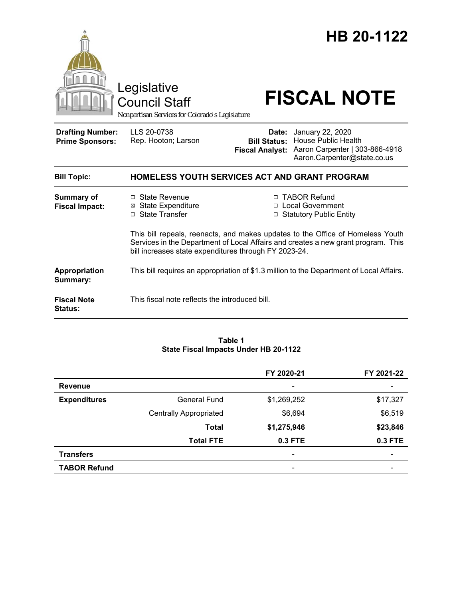

### **Table 1 State Fiscal Impacts Under HB 20-1122**

|                     |                               | FY 2020-21               | FY 2021-22 |
|---------------------|-------------------------------|--------------------------|------------|
| <b>Revenue</b>      |                               | $\overline{\phantom{a}}$ |            |
| <b>Expenditures</b> | <b>General Fund</b>           | \$1,269,252              | \$17,327   |
|                     | <b>Centrally Appropriated</b> | \$6,694                  | \$6,519    |
|                     | <b>Total</b>                  | \$1,275,946              | \$23,846   |
|                     | <b>Total FTE</b>              | 0.3 FTE                  | 0.3 FTE    |
| <b>Transfers</b>    |                               | $\overline{\phantom{0}}$ |            |
| <b>TABOR Refund</b> |                               | $\overline{\phantom{a}}$ |            |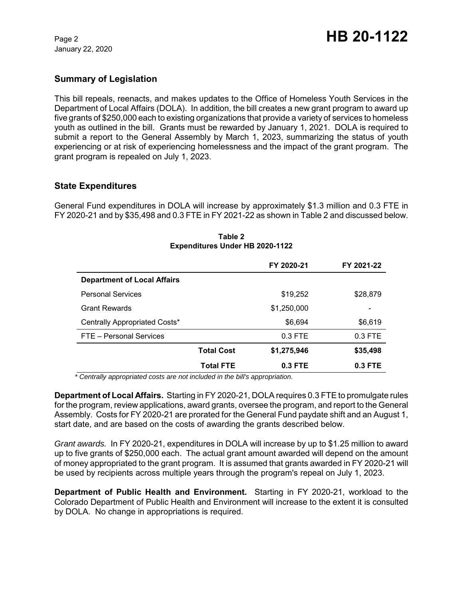January 22, 2020

# **Summary of Legislation**

This bill repeals, reenacts, and makes updates to the Office of Homeless Youth Services in the Department of Local Affairs (DOLA). In addition, the bill creates a new grant program to award up five grants of \$250,000 each to existing organizations that provide a variety of services to homeless youth as outlined in the bill. Grants must be rewarded by January 1, 2021. DOLA is required to submit a report to the General Assembly by March 1, 2023, summarizing the status of youth experiencing or at risk of experiencing homelessness and the impact of the grant program. The grant program is repealed on July 1, 2023.

# **State Expenditures**

General Fund expenditures in DOLA will increase by approximately \$1.3 million and 0.3 FTE in FY 2020-21 and by \$35,498 and 0.3 FTE in FY 2021-22 as shown in Table 2 and discussed below.

|                                    |                   | FY 2020-21  | FY 2021-22 |
|------------------------------------|-------------------|-------------|------------|
| <b>Department of Local Affairs</b> |                   |             |            |
| <b>Personal Services</b>           |                   | \$19,252    | \$28,879   |
| <b>Grant Rewards</b>               |                   | \$1,250,000 | -          |
| Centrally Appropriated Costs*      |                   | \$6,694     | \$6,619    |
| FTE - Personal Services            |                   | $0.3$ FTE   | $0.3$ FTE  |
|                                    | <b>Total Cost</b> | \$1,275,946 | \$35,498   |
|                                    | <b>Total FTE</b>  | $0.3$ FTE   | $0.3$ FTE  |

**Table 2 Expenditures Under HB 2020-1122**

*\* Centrally appropriated costs are not included in the bill's appropriation.*

**Department of Local Affairs.** Starting in FY 2020-21, DOLA requires 0.3 FTE to promulgate rules for the program, review applications, award grants, oversee the program, and report to the General Assembly. Costs for FY 2020-21 are prorated for the General Fund paydate shift and an August 1, start date, and are based on the costs of awarding the grants described below.

*Grant awards.*In FY 2020-21, expenditures in DOLA will increase by up to \$1.25 million to award up to five grants of \$250,000 each. The actual grant amount awarded will depend on the amount of money appropriated to the grant program. It is assumed that grants awarded in FY 2020-21 will be used by recipients across multiple years through the program's repeal on July 1, 2023.

**Department of Public Health and Environment.** Starting in FY 2020-21, workload to the Colorado Department of Public Health and Environment will increase to the extent it is consulted by DOLA. No change in appropriations is required.